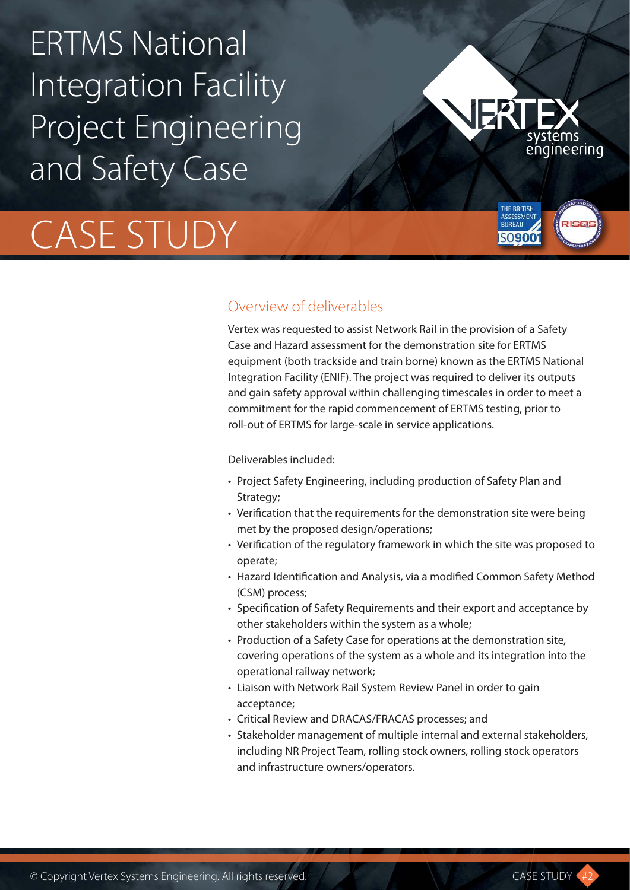## ERTMS National Integration Facility Project Engineering and Safety Case

# CASE STUDY



**THE RRITISH BUREAU** 50900

#### Overview of deliverables

Vertex was requested to assist Network Rail in the provision of a Safety Case and Hazard assessment for the demonstration site for ERTMS equipment (both trackside and train borne) known as the ERTMS National Integration Facility (ENIF). The project was required to deliver its outputs and gain safety approval within challenging timescales in order to meet a commitment for the rapid commencement of ERTMS testing, prior to roll-out of ERTMS for large-scale in service applications.

Deliverables included:

- Project Safety Engineering, including production of Safety Plan and Strategy;
- Verification that the requirements for the demonstration site were being met by the proposed design/operations;
- Verification of the regulatory framework in which the site was proposed to operate;
- Hazard Identification and Analysis, via a modified Common Safety Method (CSM) process;
- Specification of Safety Requirements and their export and acceptance by other stakeholders within the system as a whole;
- Production of a Safety Case for operations at the demonstration site, covering operations of the system as a whole and its integration into the operational railway network;
- Liaison with Network Rail System Review Panel in order to gain acceptance;
- Critical Review and DRACAS/FRACAS processes; and
- Stakeholder management of multiple internal and external stakeholders, including NR Project Team, rolling stock owners, rolling stock operators and infrastructure owners/operators.